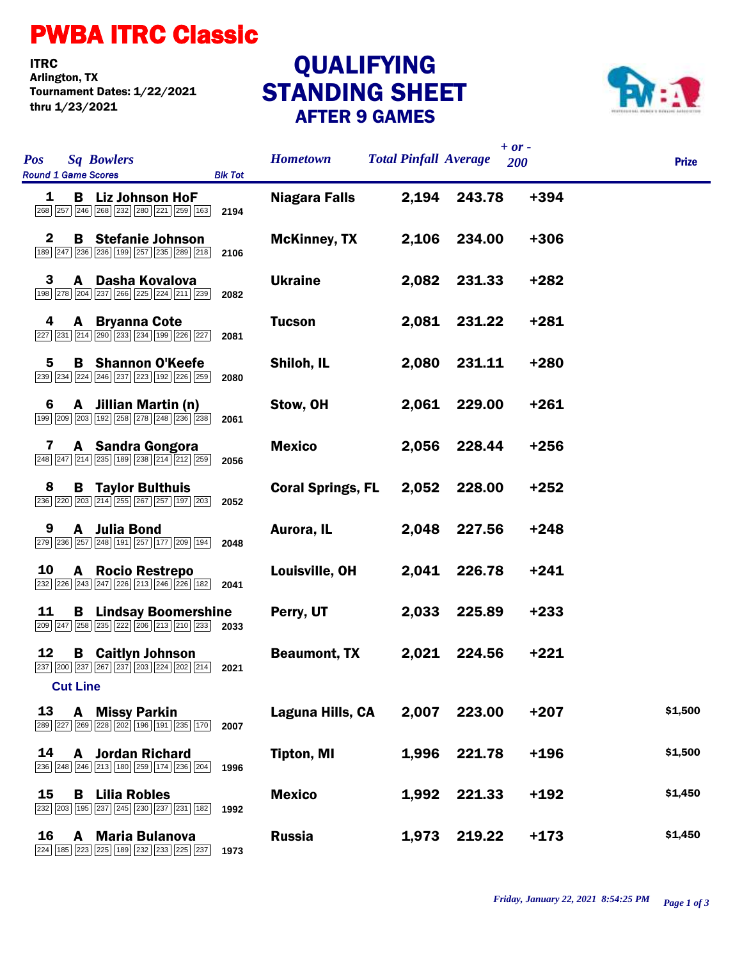## PWBA ITRC Classic

**ITRC**<br>Arlington, TX Tournament Dates: 1/22/2021 thru 1/23/2021

## STANDING SHEET AFTER 9 GAMES **QUALIFYING**



| <b>Pos</b><br><b>Sq Bowlers</b><br><b>Round 1 Game Scores</b><br><b>Blk Tot</b>                  | <b>Hometown</b>          | <b>Total Pinfall Average</b> |        | $+ or -$<br>200 | <b>Prize</b> |
|--------------------------------------------------------------------------------------------------|--------------------------|------------------------------|--------|-----------------|--------------|
| 1<br><b>B</b> Liz Johnson HoF<br>268 257 246 268 232 280 221 259 163<br>2194                     | <b>Niagara Falls</b>     | 2,194                        | 243.78 | +394            |              |
| $\mathbf{2}$<br><b>B</b> Stefanie Johnson<br>189 247 236 236 199 257 235 289 218<br>2106         | <b>McKinney, TX</b>      | 2,106                        | 234.00 | $+306$          |              |
| 3<br>A Dasha Kovalova<br>198 278 204 237 266 225 224 211 239<br>2082                             | <b>Ukraine</b>           | 2,082                        | 231.33 | $+282$          |              |
| 4<br><b>A</b> Bryanna Cote<br>227 231 214 290 233 234 199 226 227<br>2081                        | <b>Tucson</b>            | 2,081                        | 231.22 | $+281$          |              |
| <b>B</b> Shannon O'Keefe<br>5<br>239 234 224 246 237 223 192 226 259<br>2080                     | Shiloh, IL               | 2,080                        | 231.11 | $+280$          |              |
| A Jillian Martin (n)<br>6<br>199 209 203 192 258 278 248 236 238<br>2061                         | Stow, OH                 | 2,061                        | 229.00 | $+261$          |              |
| A Sandra Gongora<br>7<br>248 247 214 235 189 238 214 212 259<br>2056                             | <b>Mexico</b>            | 2,056                        | 228.44 | $+256$          |              |
| <b>B</b> Taylor Bulthuis<br>8<br>236 220 203 214 255 267 257 197 203<br>2052                     | <b>Coral Springs, FL</b> | 2,052                        | 228.00 | $+252$          |              |
| A Julia Bond<br>9<br>279 236 257 248 191 257 177 209 194<br>2048                                 | Aurora, IL               | 2,048                        | 227.56 | $+248$          |              |
| <b>A</b> Rocio Restrepo<br>10<br>232 226 243 247 226 213 246 226 182<br>2041                     | Louisville, OH           | 2,041                        | 226.78 | $+241$          |              |
| 11<br><b>B</b> Lindsay Boomershine<br>209 247 258 235 222 206 213 210 233 2033                   | Perry, UT                | 2,033                        | 225.89 | $+233$          |              |
| 12<br><b>B</b> Caitlyn Johnson<br>237 200 237 267 237 203 224 202 214<br>2021<br><b>Cut Line</b> | <b>Beaumont, TX</b>      | 2,021                        | 224.56 | $+221$          |              |
| 13<br><b>A</b> Missy Parkin<br>289 227 269 228 202 196 191 235 170<br>2007                       | Laguna Hills, CA         | 2,007                        | 223.00 | $+207$          | \$1,500      |
| 14<br>Jordan Richard<br>A<br>236 248 246 213 180 259 174 236 204<br>1996                         | <b>Tipton, MI</b>        | 1,996                        | 221.78 | $+196$          | \$1,500      |
| 15<br>В<br><b>Lilia Robles</b><br>232 203 195 237 245 230 237 231 182<br>1992                    | <b>Mexico</b>            | 1,992                        | 221.33 | $+192$          | \$1,450      |
| 16<br><b>Maria Bulanova</b><br>A<br>224 185 223 225 189 232 233 225 237<br>1973                  | <b>Russia</b>            | 1,973                        | 219.22 | $+173$          | \$1,450      |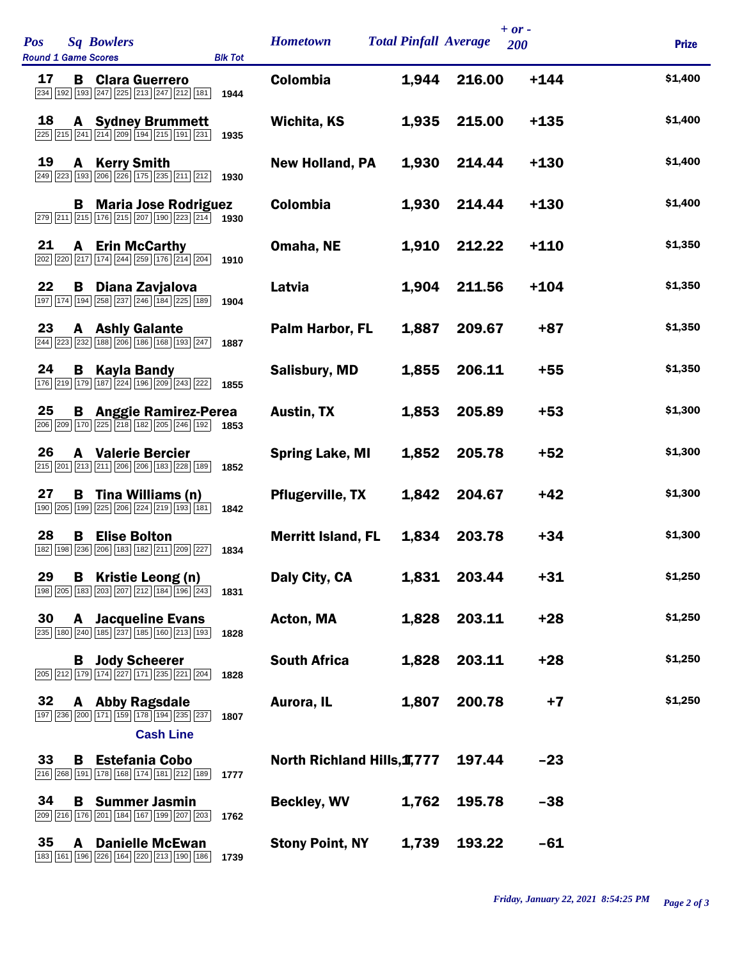| <b>Pos</b><br><b>Sq Bowlers</b><br><b>Round 1 Game Scores</b><br><b>Blk Tot</b>                                                                                            | <b>Hometown</b>             | <b>Total Pinfall Average</b> |        | $+ or -$<br>200 | <b>Prize</b> |
|----------------------------------------------------------------------------------------------------------------------------------------------------------------------------|-----------------------------|------------------------------|--------|-----------------|--------------|
| 17<br><b>B</b> Clara Guerrero<br>234 192 193 247 225 213 247 212 181<br>1944                                                                                               | <b>Colombia</b>             | 1,944                        | 216.00 | $+144$          | \$1,400      |
| 18<br><b>A</b> Sydney Brummett<br>225 215 241 214 209 194 215 191 231<br>1935                                                                                              | Wichita, KS                 | 1,935                        | 215.00 | $+135$          | \$1,400      |
| 19<br><b>Kerry Smith</b><br>A<br>249 223 193 206 226 175 235 211 212<br>1930                                                                                               | <b>New Holland, PA</b>      | 1,930                        | 214.44 | $+130$          | \$1,400      |
| <b>B</b> Maria Jose Rodriguez<br>$\boxed{279}$ $\boxed{211}$ $\boxed{215}$ $\boxed{176}$ $\boxed{215}$ $\boxed{207}$ $\boxed{190}$ $\boxed{223}$ $\boxed{214}$ <b>1930</b> | <b>Colombia</b>             | 1,930                        | 214.44 | $+130$          | \$1,400      |
| 21<br><b>A</b> Erin McCarthy<br>202 220 217 174 244 259 176 214 204<br>1910                                                                                                | Omaha, NE                   | 1,910                        | 212.22 | $+110$          | \$1,350      |
| 22<br>Diana Zavjalova<br>В<br>197 174 194 258 237 246 184 225 189<br>1904                                                                                                  | Latvia                      | 1,904                        | 211.56 | $+104$          | \$1,350      |
| 23<br><b>A</b> Ashly Galante<br>244 223 232 188 206 186 168 193 247<br>1887                                                                                                | Palm Harbor, FL             | 1,887                        | 209.67 | $+87$           | \$1,350      |
| 24<br><b>B</b> Kayla Bandy<br>176   219   179   187   224   196   209   243   222  <br>1855                                                                                | <b>Salisbury, MD</b>        | 1,855                        | 206.11 | $+55$           | \$1,350      |
| 25<br><b>B</b> Anggie Ramirez-Perea<br>206 209 170 225 218 182 205 246 192 1853                                                                                            | <b>Austin, TX</b>           | 1,853                        | 205.89 | $+53$           | \$1,300      |
| 26<br><b>A</b> Valerie Bercier<br>215 201 213 211 206 206 183 228 189<br>1852                                                                                              | <b>Spring Lake, MI</b>      | 1,852                        | 205.78 | $+52$           | \$1,300      |
| 27<br>Tina Williams (n)<br>в.<br>190 205 199 225 206 224 219 193 181<br>1842                                                                                               | <b>Pflugerville, TX</b>     | 1,842                        | 204.67 | $+42$           | \$1,300      |
| 28<br><b>Elise Bolton</b><br>В<br>182 198 236 206 183 182 211 209 227<br>1834                                                                                              | <b>Merritt Island, FL</b>   | 1,834                        | 203.78 | $+34$           | \$1,300      |
| 29<br>Kristie Leong (n)<br>В<br>198 205 183 203 207 212 184 196 243<br>1831                                                                                                | Daly City, CA               | 1,831                        | 203.44 | $+31$           | \$1,250      |
| 30<br><b>A</b> Jacqueline Evans<br>235 180 240 185 237 185 160 213 193<br>1828                                                                                             | Acton, MA                   | 1,828                        | 203.11 | $+28$           | \$1,250      |
| <b>B</b> Jody Scheerer<br>205 212 179 174 227 171 235 221 204<br>1828                                                                                                      | <b>South Africa</b>         | 1,828                        | 203.11 | $+28$           | \$1,250      |
| 32<br><b>Abby Ragsdale</b><br>A<br>197 236 200 171 159 178 194 235 237<br>1807                                                                                             | Aurora, IL                  | 1,807                        | 200.78 | $+7$            | \$1,250      |
| <b>Cash Line</b><br>33<br><b>Estefania Cobo</b><br>В<br>191 178 168 174 181 212 189<br>216 268<br>1777                                                                     | North Richland Hills, 1,777 |                              | 197.44 | $-23$           |              |
| 34<br><b>Summer Jasmin</b><br>В<br>209 216 176 201 184 167 199 207 203<br>1762                                                                                             | <b>Beckley, WV</b>          | 1,762                        | 195.78 | $-38$           |              |
| 35<br><b>Danielle McEwan</b><br>A<br>183 161 196 226 164 220 213 190 186<br>1739                                                                                           | <b>Stony Point, NY</b>      | 1,739                        | 193.22 | $-61$           |              |